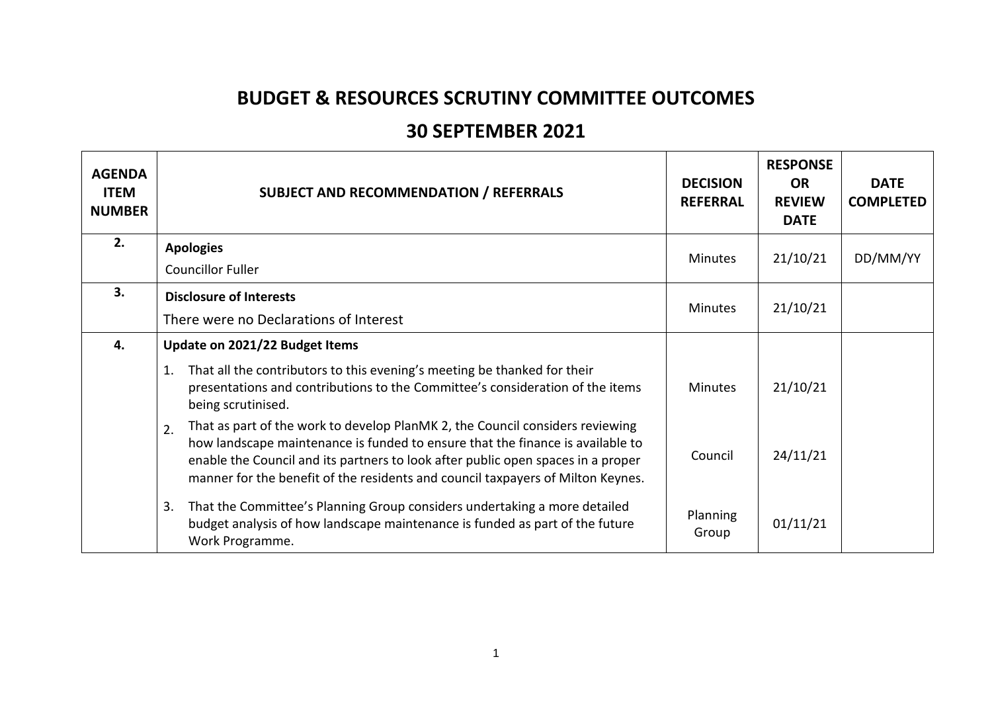## **BUDGET & RESOURCES SCRUTINY COMMITTEE OUTCOMES**

## **30 SEPTEMBER 2021**

| <b>AGENDA</b><br><b>ITEM</b><br><b>NUMBER</b> | <b>SUBJECT AND RECOMMENDATION / REFERRALS</b>                                                                                                                                                                                                                                                                                                | <b>DECISION</b><br><b>REFERRAL</b> | <b>RESPONSE</b><br><b>OR</b><br><b>REVIEW</b><br><b>DATE</b> | <b>DATE</b><br><b>COMPLETED</b> |
|-----------------------------------------------|----------------------------------------------------------------------------------------------------------------------------------------------------------------------------------------------------------------------------------------------------------------------------------------------------------------------------------------------|------------------------------------|--------------------------------------------------------------|---------------------------------|
| 2.                                            | <b>Apologies</b>                                                                                                                                                                                                                                                                                                                             | <b>Minutes</b>                     | 21/10/21                                                     | DD/MM/YY                        |
|                                               | <b>Councillor Fuller</b>                                                                                                                                                                                                                                                                                                                     |                                    |                                                              |                                 |
| 3.                                            | <b>Disclosure of Interests</b>                                                                                                                                                                                                                                                                                                               |                                    | 21/10/21                                                     |                                 |
|                                               | There were no Declarations of Interest                                                                                                                                                                                                                                                                                                       | <b>Minutes</b>                     |                                                              |                                 |
| 4.                                            | Update on 2021/22 Budget Items                                                                                                                                                                                                                                                                                                               |                                    |                                                              |                                 |
|                                               | That all the contributors to this evening's meeting be thanked for their<br>1.<br>presentations and contributions to the Committee's consideration of the items<br>being scrutinised.                                                                                                                                                        | <b>Minutes</b>                     | 21/10/21                                                     |                                 |
|                                               | That as part of the work to develop PlanMK 2, the Council considers reviewing<br>2.<br>how landscape maintenance is funded to ensure that the finance is available to<br>enable the Council and its partners to look after public open spaces in a proper<br>manner for the benefit of the residents and council taxpayers of Milton Keynes. | Council                            | 24/11/21                                                     |                                 |
|                                               | That the Committee's Planning Group considers undertaking a more detailed<br>3.<br>budget analysis of how landscape maintenance is funded as part of the future<br>Work Programme.                                                                                                                                                           | Planning<br>Group                  | 01/11/21                                                     |                                 |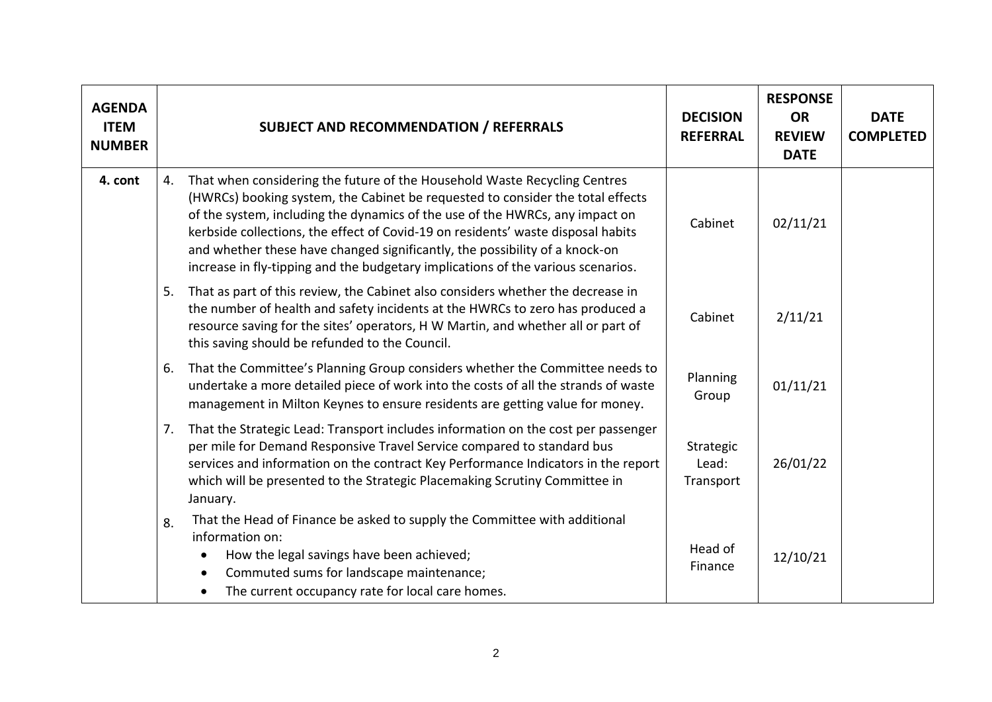| <b>AGENDA</b><br><b>ITEM</b><br><b>NUMBER</b> |    | <b>SUBJECT AND RECOMMENDATION / REFERRALS</b>                                                                                                                                                                                                                                                                                                                                                                                                                                                      | <b>DECISION</b><br><b>REFERRAL</b> | <b>RESPONSE</b><br><b>OR</b><br><b>REVIEW</b><br><b>DATE</b> | <b>DATE</b><br><b>COMPLETED</b> |
|-----------------------------------------------|----|----------------------------------------------------------------------------------------------------------------------------------------------------------------------------------------------------------------------------------------------------------------------------------------------------------------------------------------------------------------------------------------------------------------------------------------------------------------------------------------------------|------------------------------------|--------------------------------------------------------------|---------------------------------|
| 4. cont                                       | 4. | That when considering the future of the Household Waste Recycling Centres<br>(HWRCs) booking system, the Cabinet be requested to consider the total effects<br>of the system, including the dynamics of the use of the HWRCs, any impact on<br>kerbside collections, the effect of Covid-19 on residents' waste disposal habits<br>and whether these have changed significantly, the possibility of a knock-on<br>increase in fly-tipping and the budgetary implications of the various scenarios. | Cabinet                            | 02/11/21                                                     |                                 |
|                                               | 5. | That as part of this review, the Cabinet also considers whether the decrease in<br>the number of health and safety incidents at the HWRCs to zero has produced a<br>resource saving for the sites' operators, H W Martin, and whether all or part of<br>this saving should be refunded to the Council.                                                                                                                                                                                             | Cabinet                            | 2/11/21                                                      |                                 |
|                                               | 6. | That the Committee's Planning Group considers whether the Committee needs to<br>undertake a more detailed piece of work into the costs of all the strands of waste<br>management in Milton Keynes to ensure residents are getting value for money.                                                                                                                                                                                                                                                 | Planning<br>Group                  | 01/11/21                                                     |                                 |
|                                               | 7. | That the Strategic Lead: Transport includes information on the cost per passenger<br>per mile for Demand Responsive Travel Service compared to standard bus<br>services and information on the contract Key Performance Indicators in the report<br>which will be presented to the Strategic Placemaking Scrutiny Committee in<br>January.                                                                                                                                                         | Strategic<br>Lead:<br>Transport    | 26/01/22                                                     |                                 |
|                                               | 8. | That the Head of Finance be asked to supply the Committee with additional<br>information on:<br>How the legal savings have been achieved;<br>$\bullet$<br>Commuted sums for landscape maintenance;<br>$\bullet$<br>The current occupancy rate for local care homes.                                                                                                                                                                                                                                | Head of<br>Finance                 | 12/10/21                                                     |                                 |